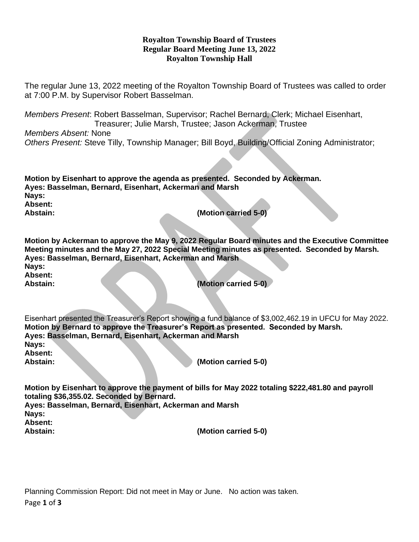## **Royalton Township Board of Trustees Regular Board Meeting June 13, 2022 Royalton Township Hall**

The regular June 13, 2022 meeting of the Royalton Township Board of Trustees was called to order at 7:00 P.M. by Supervisor Robert Basselman.

*Members Present*: Robert Basselman, Supervisor; Rachel Bernard, Clerk; Michael Eisenhart, Treasurer; Julie Marsh, Trustee; Jason Ackerman, Trustee

*Members Absent:* None *Others Present:* Steve Tilly, Township Manager; Bill Boyd, Building/Official Zoning Administrator;

| Motion by Eisenhart to approve the agenda as presented. Seconded by Ackerman.<br>Ayes: Basselman, Bernard, Eisenhart, Ackerman and Marsh<br>Nays:<br>Absent: |                                                                                                                                                                                                  |
|--------------------------------------------------------------------------------------------------------------------------------------------------------------|--------------------------------------------------------------------------------------------------------------------------------------------------------------------------------------------------|
| Abstain:                                                                                                                                                     | (Motion carried 5-0)                                                                                                                                                                             |
|                                                                                                                                                              |                                                                                                                                                                                                  |
| Ayes: Basselman, Bernard, Eisenhart, Ackerman and Marsh                                                                                                      | Motion by Ackerman to approve the May 9, 2022 Regular Board minutes and the Executive Committee<br>Meeting minutes and the May 27, 2022 Special Meeting minutes as presented. Seconded by Marsh. |
| Nays:<br>Absent:                                                                                                                                             |                                                                                                                                                                                                  |
| Abstain:                                                                                                                                                     | (Motion carried 5-0)                                                                                                                                                                             |
| Motion by Bernard to approve the Treasurer's Report as presented. Seconded by Marsh.<br>Ayes: Basselman, Bernard, Eisenhart, Ackerman and Marsh              | Eisenhart presented the Treasurer's Report showing a fund balance of \$3,002,462.19 in UFCU for May 2022.                                                                                        |
| Nays:                                                                                                                                                        |                                                                                                                                                                                                  |
| Absent:<br>Abstain:                                                                                                                                          | (Motion carried 5-0)                                                                                                                                                                             |
|                                                                                                                                                              |                                                                                                                                                                                                  |
| totaling \$36,355.02. Seconded by Bernard.                                                                                                                   | Motion by Eisenhart to approve the payment of bills for May 2022 totaling \$222,481.80 and payroll                                                                                               |
| Ayes: Basselman, Bernard, Eisenhart, Ackerman and Marsh                                                                                                      |                                                                                                                                                                                                  |
| Nays:<br><b>Absent:</b>                                                                                                                                      |                                                                                                                                                                                                  |

**Abstain: (Motion carried 5-0)**

Page **1** of **3** Planning Commission Report: Did not meet in May or June. No action was taken.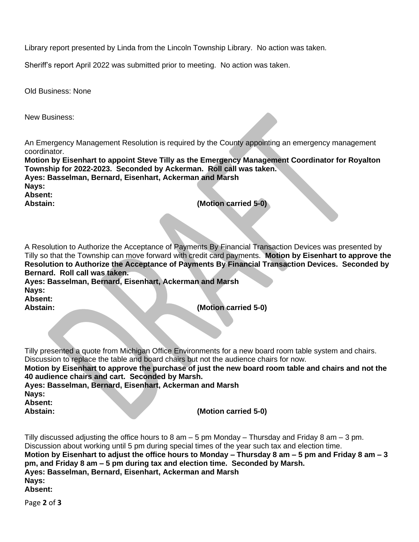Library report presented by Linda from the Lincoln Township Library. No action was taken.

Sheriff's report April 2022 was submitted prior to meeting. No action was taken.

Old Business: None

New Business:

An Emergency Management Resolution is required by the County appointing an emergency management coordinator.

**Motion by Eisenhart to appoint Steve Tilly as the Emergency Management Coordinator for Royalton Township for 2022-2023. Seconded by Ackerman. Roll call was taken. Ayes: Basselman, Bernard, Eisenhart, Ackerman and Marsh Nays:**

**Absent:** 

**Abstain: (Motion carried 5-0)**

A Resolution to Authorize the Acceptance of Payments By Financial Transaction Devices was presented by Tilly so that the Township can move forward with credit card payments. **Motion by Eisenhart to approve the Resolution to Authorize the Acceptance of Payments By Financial Transaction Devices. Seconded by Bernard. Roll call was taken.**

**Ayes: Basselman, Bernard, Eisenhart, Ackerman and Marsh Nays: Absent:** 

**Abstain: (Motion carried 5-0)**

Tilly presented a quote from Michigan Office Environments for a new board room table system and chairs. Discussion to replace the table and board chairs but not the audience chairs for now. **Motion by Eisenhart to approve the purchase of just the new board room table and chairs and not the 40 audience chairs and cart. Seconded by Marsh. Ayes: Basselman, Bernard, Eisenhart, Ackerman and Marsh Nays: Absent: Abstain: (Motion carried 5-0)**

Tilly discussed adjusting the office hours to 8 am  $-$  5 pm Monday – Thursday and Friday 8 am  $-$  3 pm. Discussion about working until 5 pm during special times of the year such tax and election time. **Motion by Eisenhart to adjust the office hours to Monday – Thursday 8 am – 5 pm and Friday 8 am – 3 pm, and Friday 8 am – 5 pm during tax and election time. Seconded by Marsh. Ayes: Basselman, Bernard, Eisenhart, Ackerman and Marsh Nays: Absent:** 

Page **2** of **3**